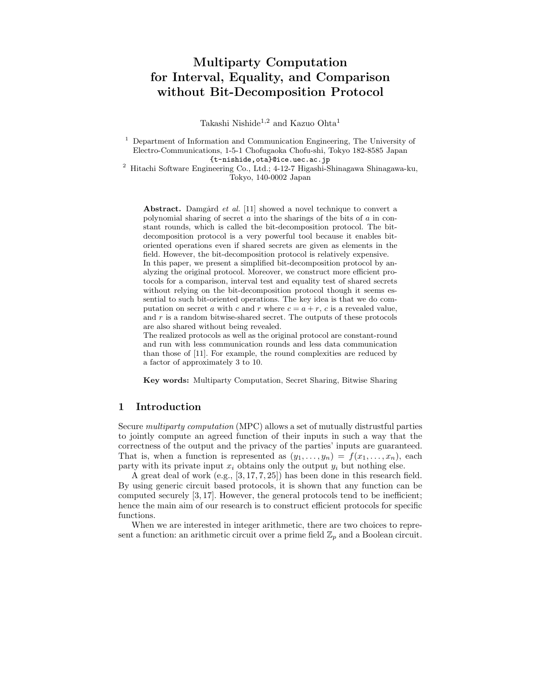# Multiparty Computation for Interval, Equality, and Comparison without Bit-Decomposition Protocol

Takashi Nishide $^{1,2}$  and Kazuo Ohta $^1$ 

<sup>1</sup> Department of Information and Communication Engineering, The University of Electro-Communications, 1-5-1 Chofugaoka Chofu-shi, Tokyo 182-8585 Japan {t-nishide,ota}@ice.uec.ac.jp

 $^2$ Hitachi Software Engineering Co., Ltd.; 4-12-7 Higashi-Shinagawa Shinagawa-ku, Tokyo, 140-0002 Japan

Abstract. Damgård et al.  $[11]$  showed a novel technique to convert a polynomial sharing of secret  $a$  into the sharings of the bits of  $a$  in constant rounds, which is called the bit-decomposition protocol. The bitdecomposition protocol is a very powerful tool because it enables bitoriented operations even if shared secrets are given as elements in the field. However, the bit-decomposition protocol is relatively expensive. In this paper, we present a simplified bit-decomposition protocol by analyzing the original protocol. Moreover, we construct more efficient protocols for a comparison, interval test and equality test of shared secrets without relying on the bit-decomposition protocol though it seems essential to such bit-oriented operations. The key idea is that we do computation on secret a with c and r where  $c = a + r$ , c is a revealed value,

and  $r$  is a random bitwise-shared secret. The outputs of these protocols are also shared without being revealed.

The realized protocols as well as the original protocol are constant-round and run with less communication rounds and less data communication than those of [11]. For example, the round complexities are reduced by a factor of approximately 3 to 10.

Key words: Multiparty Computation, Secret Sharing, Bitwise Sharing

### 1 Introduction

Secure multiparty computation (MPC) allows a set of mutually distrustful parties to jointly compute an agreed function of their inputs in such a way that the correctness of the output and the privacy of the parties' inputs are guaranteed. That is, when a function is represented as  $(y_1, \ldots, y_n) = f(x_1, \ldots, x_n)$ , each party with its private input  $x_i$  obtains only the output  $y_i$  but nothing else.

A great deal of work (e.g., [3, 17, 7, 25]) has been done in this research field. By using generic circuit based protocols, it is shown that any function can be computed securely [3, 17]. However, the general protocols tend to be inefficient; hence the main aim of our research is to construct efficient protocols for specific functions.

When we are interested in integer arithmetic, there are two choices to represent a function: an arithmetic circuit over a prime field  $\mathbb{Z}_p$  and a Boolean circuit.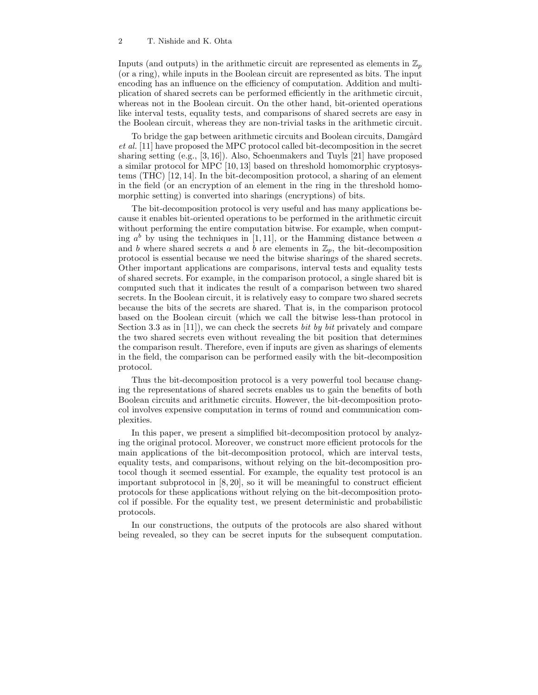Inputs (and outputs) in the arithmetic circuit are represented as elements in  $\mathbb{Z}_p$ (or a ring), while inputs in the Boolean circuit are represented as bits. The input encoding has an influence on the efficiency of computation. Addition and multiplication of shared secrets can be performed efficiently in the arithmetic circuit, whereas not in the Boolean circuit. On the other hand, bit-oriented operations like interval tests, equality tests, and comparisons of shared secrets are easy in the Boolean circuit, whereas they are non-trivial tasks in the arithmetic circuit.

To bridge the gap between arithmetic circuits and Boolean circuits, Damgård et al. [11] have proposed the MPC protocol called bit-decomposition in the secret sharing setting (e.g., [3, 16]). Also, Schoenmakers and Tuyls [21] have proposed a similar protocol for MPC [10, 13] based on threshold homomorphic cryptosystems (THC) [12, 14]. In the bit-decomposition protocol, a sharing of an element in the field (or an encryption of an element in the ring in the threshold homomorphic setting) is converted into sharings (encryptions) of bits.

The bit-decomposition protocol is very useful and has many applications because it enables bit-oriented operations to be performed in the arithmetic circuit without performing the entire computation bitwise. For example, when computing  $a^b$  by using the techniques in [1,11], or the Hamming distance between a and b where shared secrets a and b are elements in  $\mathbb{Z}_p$ , the bit-decomposition protocol is essential because we need the bitwise sharings of the shared secrets. Other important applications are comparisons, interval tests and equality tests of shared secrets. For example, in the comparison protocol, a single shared bit is computed such that it indicates the result of a comparison between two shared secrets. In the Boolean circuit, it is relatively easy to compare two shared secrets because the bits of the secrets are shared. That is, in the comparison protocol based on the Boolean circuit (which we call the bitwise less-than protocol in Section 3.3 as in  $[11]$ , we can check the secrets *bit by bit* privately and compare the two shared secrets even without revealing the bit position that determines the comparison result. Therefore, even if inputs are given as sharings of elements in the field, the comparison can be performed easily with the bit-decomposition protocol.

Thus the bit-decomposition protocol is a very powerful tool because changing the representations of shared secrets enables us to gain the benefits of both Boolean circuits and arithmetic circuits. However, the bit-decomposition protocol involves expensive computation in terms of round and communication complexities.

In this paper, we present a simplified bit-decomposition protocol by analyzing the original protocol. Moreover, we construct more efficient protocols for the main applications of the bit-decomposition protocol, which are interval tests, equality tests, and comparisons, without relying on the bit-decomposition protocol though it seemed essential. For example, the equality test protocol is an important subprotocol in [8, 20], so it will be meaningful to construct efficient protocols for these applications without relying on the bit-decomposition protocol if possible. For the equality test, we present deterministic and probabilistic protocols.

In our constructions, the outputs of the protocols are also shared without being revealed, so they can be secret inputs for the subsequent computation.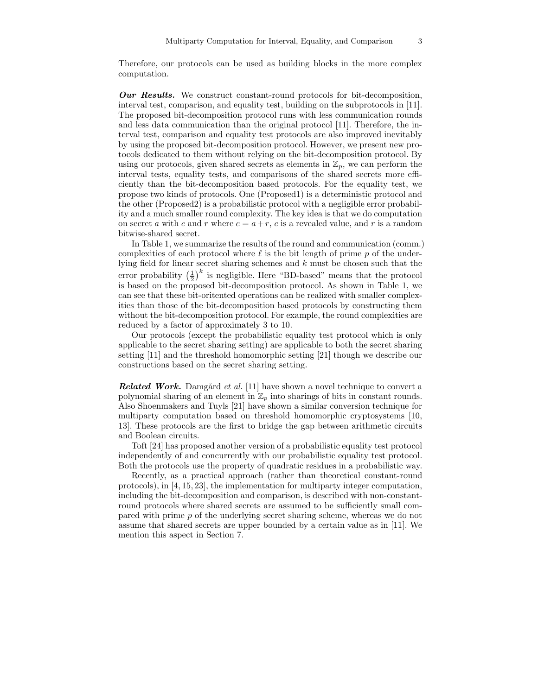Therefore, our protocols can be used as building blocks in the more complex computation.

Our Results. We construct constant-round protocols for bit-decomposition, interval test, comparison, and equality test, building on the subprotocols in [11]. The proposed bit-decomposition protocol runs with less communication rounds and less data communication than the original protocol [11]. Therefore, the interval test, comparison and equality test protocols are also improved inevitably by using the proposed bit-decomposition protocol. However, we present new protocols dedicated to them without relying on the bit-decomposition protocol. By using our protocols, given shared secrets as elements in  $\mathbb{Z}_p$ , we can perform the interval tests, equality tests, and comparisons of the shared secrets more efficiently than the bit-decomposition based protocols. For the equality test, we propose two kinds of protocols. One (Proposed1) is a deterministic protocol and the other (Proposed2) is a probabilistic protocol with a negligible error probability and a much smaller round complexity. The key idea is that we do computation on secret a with c and r where  $c = a+r$ , c is a revealed value, and r is a random bitwise-shared secret.

In Table 1, we summarize the results of the round and communication (comm.) complexities of each protocol where  $\ell$  is the bit length of prime p of the underlying field for linear secret sharing schemes and k must be chosen such that the error probability  $\left(\frac{1}{2}\right)^k$  is negligible. Here "BD-based" means that the protocol is based on the proposed bit-decomposition protocol. As shown in Table 1, we can see that these bit-oritented operations can be realized with smaller complexities than those of the bit-decomposition based protocols by constructing them without the bit-decomposition protocol. For example, the round complexities are reduced by a factor of approximately 3 to 10.

Our protocols (except the probabilistic equality test protocol which is only applicable to the secret sharing setting) are applicable to both the secret sharing setting [11] and the threshold homomorphic setting [21] though we describe our constructions based on the secret sharing setting.

**Related Work.** Damgård et al. [11] have shown a novel technique to convert a polynomial sharing of an element in  $\mathbb{Z}_p$  into sharings of bits in constant rounds. Also Shoenmakers and Tuyls [21] have shown a similar conversion technique for multiparty computation based on threshold homomorphic cryptosystems [10, 13]. These protocols are the first to bridge the gap between arithmetic circuits and Boolean circuits.

Toft [24] has proposed another version of a probabilistic equality test protocol independently of and concurrently with our probabilistic equality test protocol. Both the protocols use the property of quadratic residues in a probabilistic way.

Recently, as a practical approach (rather than theoretical constant-round protocols), in [4, 15, 23], the implementation for multiparty integer computation, including the bit-decomposition and comparison, is described with non-constantround protocols where shared secrets are assumed to be sufficiently small compared with prime p of the underlying secret sharing scheme, whereas we do not assume that shared secrets are upper bounded by a certain value as in [11]. We mention this aspect in Section 7.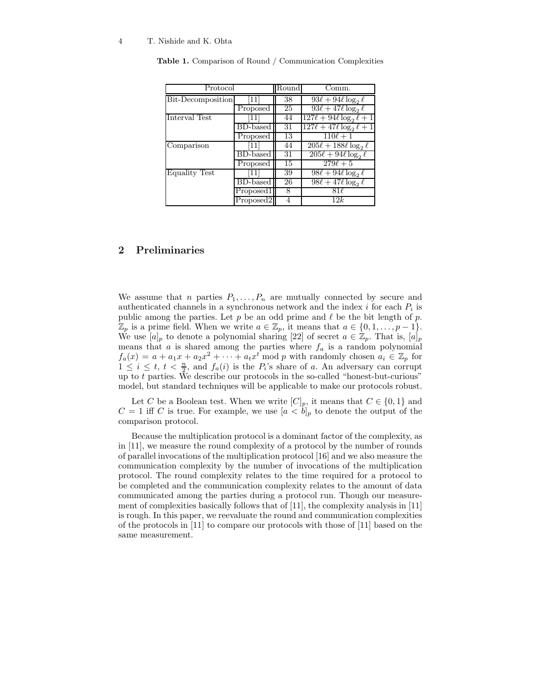#### 4 T. Nishide and K. Ohta

| Protocol             |             | Round | Comm.                                |  |
|----------------------|-------------|-------|--------------------------------------|--|
| Bit-Decomposition    | 11          |       | $\sqrt{93\ell + 94\ell \log_2 \ell}$ |  |
|                      | Proposed    | 25    | $93\ell + 47\ell \log_2 \ell$        |  |
| Interval Test        |             | 44    | $127\ell + 94\ell \log_2 \ell + 1$   |  |
|                      | $BD$ -based | 31    | $127\ell + 47\ell \log_2 \ell + 1$   |  |
|                      | Proposed    | 13    | $110\ell + 1$                        |  |
| Comparison           |             | 44    | $205\ell + 188\ell \log_2 \ell$      |  |
|                      | BD-based    | 31    | $205\ell + 94\ell \log_2 \ell$       |  |
|                      | Proposed    | 15    | $\sqrt{279\ell+5}$                   |  |
| <b>Equality Test</b> |             | 39    | $\sqrt{98\ell + 94\ell \log_2 \ell}$ |  |
|                      | BD-based    | 26    | $98\ell + 47\ell \log_2 \ell$        |  |
|                      | Proposed1   | 8     |                                      |  |
|                      | Proposed2   | 4     | 12k                                  |  |

Table 1. Comparison of Round / Communication Complexities

## 2 Preliminaries

We assume that *n* parties  $P_1, \ldots, P_n$  are mutually connected by secure and authenticated channels in a synchronous network and the index  $i$  for each  $P_i$  is public among the parties. Let p be an odd prime and  $\ell$  be the bit length of p.  $\mathbb{Z}_p$  is a prime field. When we write  $a \in \mathbb{Z}_p$ , it means that  $a \in \{0, 1, \ldots, p-1\}.$ We use  $[a]_p$  to denote a polynomial sharing [22] of secret  $a \in \mathbb{Z}_p$ . That is,  $[a]_p$ means that  $a$  is shared among the parties where  $f_a$  is a random polynomial  $f_a(x) = a + a_1x + a_2x^2 + \cdots + a_tx^t \mod p$  with randomly chosen  $a_i \in \mathbb{Z}_p$  for  $1 \leq i \leq t, t < \frac{n}{2}$ , and  $f_a(i)$  is the  $P_i$ 's share of a. An adversary can corrupt up to  $t$  parties. We describe our protocols in the so-called "honest-but-curious" model, but standard techniques will be applicable to make our protocols robust.

Let C be a Boolean test. When we write  $[C]_p$ , it means that  $C \in \{0,1\}$  and  $C = 1$  iff C is true. For example, we use  $[a \lt b]_p$  to denote the output of the comparison protocol.

Because the multiplication protocol is a dominant factor of the complexity, as in [11], we measure the round complexity of a protocol by the number of rounds of parallel invocations of the multiplication protocol [16] and we also measure the communication complexity by the number of invocations of the multiplication protocol. The round complexity relates to the time required for a protocol to be completed and the communication complexity relates to the amount of data communicated among the parties during a protocol run. Though our measurement of complexities basically follows that of [11], the complexity analysis in [11] is rough. In this paper, we reevaluate the round and communication complexities of the protocols in [11] to compare our protocols with those of [11] based on the same measurement.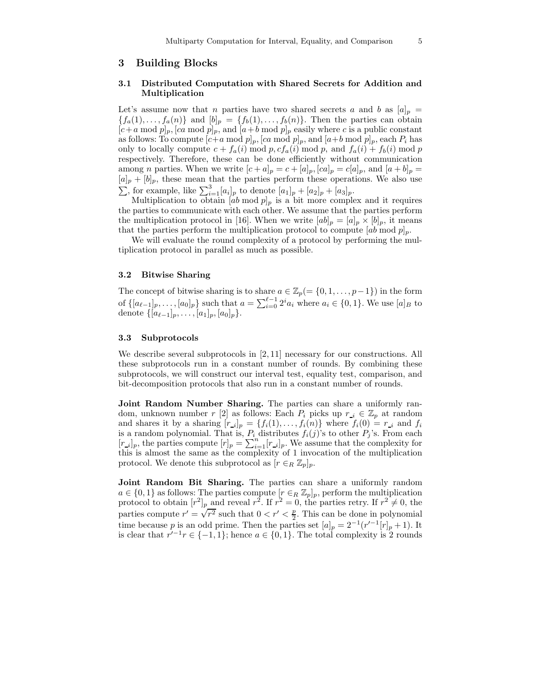## 3 Building Blocks

#### 3.1 Distributed Computation with Shared Secrets for Addition and Multiplication

Let's assume now that n parties have two shared secrets a and b as  $[a]_p =$  ${f_a(1), \ldots, f_a(n)}$  and  $[b]_p = {f_b(1), \ldots, f_b(n)}$ . Then the parties can obtain  $[c+a \mod p]_p$ ,  $[ca \mod p]_p$ , and  $[a+b \mod p]_p$  easily where c is a public constant as follows: To compute  $[c+a \mod p]_p$ ,  $[ca \mod p]_p$ , and  $[a+b \mod p]_p$ , each  $P_i$  has only to locally compute  $c + f_a(i) \mod p, cf_a(i) \mod p$ , and  $f_a(i) + f_b(i) \mod p$ respectively. Therefore, these can be done efficiently without communication among *n* parties. When we write  $[c + a]_p = c + [a]_p$ ,  $[ca]_p = c[a]_p$ , and  $[a + b]_p =$  $[a]_p + [b]_p$ , these mean that the parties perform these operations. We also use  $\sum$ , for example, like  $\sum_{i=1}^{3} [a_i]_p$  to denote  $[a_1]_p + [a_2]_p + [a_3]_p$ .

Multiplication to obtain  $[ab \bmod p]_p$  is a bit more complex and it requires the parties to communicate with each other. We assume that the parties perform the multiplication protocol in [16]. When we write  $[ab]_p = [a]_p \times [b]_p$ , it means that the parties perform the multiplication protocol to compute  $[ab \bmod p]_p$ .

We will evaluate the round complexity of a protocol by performing the multiplication protocol in parallel as much as possible.

#### 3.2 Bitwise Sharing

The concept of bitwise sharing is to share  $a \in \mathbb{Z}_p$   $(= \{0, 1, \ldots, p-1\})$  in the form of  $\{[a_{\ell-1}]_p, \ldots, [a_0]_p\}$  such that  $a = \sum_{i=0}^{\ell-1} 2^i a_i$  where  $a_i \in \{0,1\}$ . We use  $[a]_B$  to denote  $\{[a_{\ell-1}]_p, \ldots, [a_1]_p, [a_0]_p\}.$ 

#### 3.3 Subprotocols

We describe several subprotocols in [2, 11] necessary for our constructions. All these subprotocols run in a constant number of rounds. By combining these subprotocols, we will construct our interval test, equality test, comparison, and bit-decomposition protocols that also run in a constant number of rounds.

Joint Random Number Sharing. The parties can share a uniformly random, unknown number r [2] as follows: Each  $P_i$  picks up  $r_i \in \mathbb{Z}_p$  at random and shares it by a sharing  $[r_{-i}]_p = \{f_i(1), \ldots, f_i(n)\}$  where  $f_i(0) = r_{-i}$  and  $f_i$ is a random polynomial. That is,  $P_i$  distributes  $f_i(j)$ 's to other  $P_j$ 's. From each  $[r_{-i}]_p$ , the parties compute  $[r]_p = \sum_{i=1}^n [r_{-i}]_p$ . We assume that the complexity for this is almost the same as the complexity of 1 invocation of the multiplication protocol. We denote this subprotocol as  $[r \in_R \mathbb{Z}_p]_p$ .

Joint Random Bit Sharing. The parties can share a uniformly random  $a \in \{0,1\}$  as follows: The parties compute  $[r \in_R \mathbb{Z}_p]_p$ , perform the multiplication protocol to obtain  $[r^2]_p$  and reveal  $r^2$ . If  $r^2 = 0$ , the parties retry. If  $r^2 \neq 0$ , the parties compute  $r' = \sqrt{r^2}$  such that  $0 < r' < \frac{p}{2}$  $\frac{p}{2}$ . This can be done in polynomial time because p is an odd prime. Then the parties set  $[a]_p = 2^{-1}(r'^{-1}[r]_p + 1)$ . It is clear that  $r^{-1}r \in \{-1,1\}$ ; hence  $a \in \{0,1\}$ . The total complexity is 2 rounds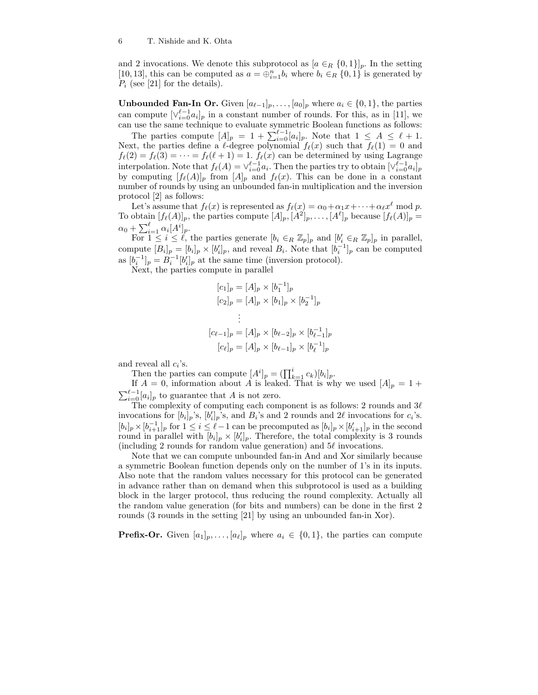and 2 invocations. We denote this subprotocol as  $[a \in_R \{0,1\}]_p$ . In the setting [10, 13], this can be computed as  $a = \bigoplus_{i=1}^n b_i$  where  $b_i \in_R \{0, 1\}$  is generated by  $P_i$  (see [21] for the details).

**Unbounded Fan-In Or.** Given  $[a_{\ell-1}]_p, \ldots, [a_0]_p$  where  $a_i \in \{0, 1\}$ , the parties can compute  $[\vee_{i=0}^{\ell-1} a_i]_p$  in a constant number of rounds. For this, as in [11], we can use the same technique to evaluate symmetric Boolean functions as follows:

The parties compute  $[A]_p = 1 + \sum_{i=0}^{\ell-1} [a_i]_p$ . Note that  $1 \leq A \leq \ell + 1$ . Next, the parties define a  $\ell$ -degree polynomial  $f_{\ell}(x)$  such that  $f_{\ell}(1) = 0$  and  $f_{\ell}(2) = f_{\ell}(3) = \cdots = f_{\ell}(\ell+1) = 1$ .  $f_{\ell}(x)$  can be determined by using Lagrange interpolation. Note that  $f_{\ell}(A) = \vee_{i=0}^{\ell-1} a_i$ . Then the parties try to obtain  $[\vee_{i=0}^{\ell-1} a_i]_p$ by computing  $[f_{\ell}(A)]_p$  from  $[A]_p$  and  $f_{\ell}(x)$ . This can be done in a constant number of rounds by using an unbounded fan-in multiplication and the inversion protocol [2] as follows:

Let's assume that  $f_{\ell}(x)$  is represented as  $f_{\ell}(x) = \alpha_0 + \alpha_1 x + \cdots + \alpha_{\ell} x^{\ell} \mod p$ . To obtain  $[f_{\ell}(A)]_p$ , the parties compute  $[A]_p, [A^2]_p, \ldots, [A^{\ell}]_p$  because  $[f_{\ell}(A)]_p =$  $\alpha_0 + \sum_{i=1}^{\ell} \alpha_i [A^i]_p.$ 

For  $1 \leq i \leq l$ , the parties generate  $[b_i \in_R \mathbb{Z}_p]_p$  and  $[b'_i \in_R \mathbb{Z}_p]_p$  in parallel, compute  $[B_i]_p = [b_i]_p \times [b'_i]_p$ , and reveal  $B_i$ . Note that  $[b_i^{-1}]_p$  can be computed as  $[b_i^{-1}]_p = B_i^{-1}[b_i']_p$  at the same time (inversion protocol).

Next, the parties compute in parallel

$$
[c_1]_p = [A]_p \times [b_1^{-1}]_p
$$
  
\n
$$
[c_2]_p = [A]_p \times [b_1]_p \times [b_2^{-1}]_p
$$
  
\n
$$
\vdots
$$
  
\n
$$
[c_{\ell-1}]_p = [A]_p \times [b_{\ell-2}]_p \times [b_{\ell-1}^{-1}]_p
$$
  
\n
$$
[c_{\ell}]_p = [A]_p \times [b_{\ell-1}]_p \times [b_{\ell}^{-1}]_p
$$

and reveal all  $c_i$ 's.

Then the parties can compute  $[A^i]_p = (\prod_{k=1}^i c_k)[b_i]_p$ .

If  $A = 0$ , information about A is leaked. That is why we used  $[A]_p = 1 +$  $\sum_{i=0}^{\ell-1} [a_i]_p$  to guarantee that A is not zero.

The complexity of computing each component is as follows: 2 rounds and  $3\ell$ invocations for  $[b_i]_p$ 's,  $[b'_i]_p$ 's, and  $B_i$ 's and 2 rounds and 2 $\ell$  invocations for  $c_i$ 's.  $[b_i]_p \times [b_{i+1}]_p$  for  $1 \leq i \leq \ell-1$  can be precomputed as  $[b_i]_p \times [b'_{i+1}]_p$  in the second round in parallel with  $[b_i]_p \times [b'_i]_p$ . Therefore, the total complexity is 3 rounds (including 2 rounds for random value generation) and  $5\ell$  invocations.

Note that we can compute unbounded fan-in And and Xor similarly because a symmetric Boolean function depends only on the number of 1's in its inputs. Also note that the random values necessary for this protocol can be generated in advance rather than on demand when this subprotocol is used as a building block in the larger protocol, thus reducing the round complexity. Actually all the random value generation (for bits and numbers) can be done in the first 2 rounds (3 rounds in the setting [21] by using an unbounded fan-in Xor).

**Prefix-Or.** Given  $[a_1]_p, \ldots, [a_\ell]_p$  where  $a_i \in \{0, 1\}$ , the parties can compute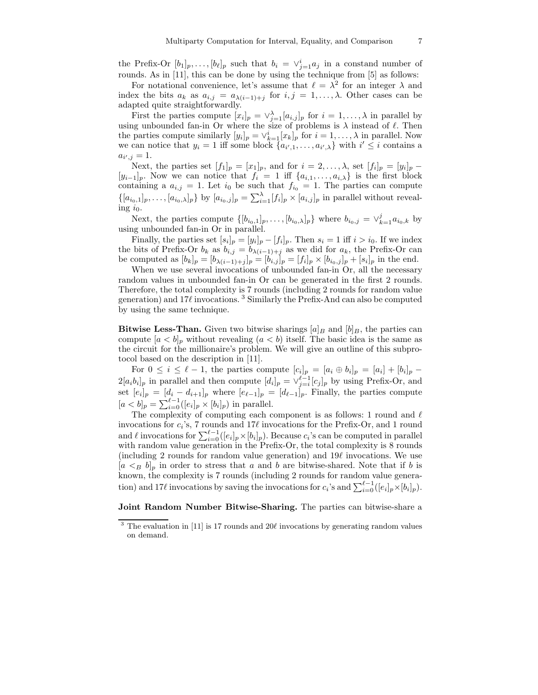the Prefix-Or  $[b_1]_p, \ldots, [b_\ell]_p$  such that  $b_i = \vee_{j=1}^i a_j$  in a constand number of rounds. As in [11], this can be done by using the technique from [5] as follows:

For notational convenience, let's assume that  $\ell = \lambda^2$  for an integer  $\lambda$  and index the bits  $a_k$  as  $a_{i,j} = a_{\lambda(i-1)+j}$  for  $i, j = 1, \ldots, \lambda$ . Other cases can be adapted quite straightforwardly.

First the parties compute  $[x_i]_p = \vee_{j=1}^{\lambda} [a_{i,j}]_p$  for  $i = 1, ..., \lambda$  in parallel by using unbounded fan-in Or where the size of problems is  $\lambda$  instead of  $\ell$ . Then the parties compute similarly  $[y_i]_p = \vee_{k=1}^i [x_k]_p$  for  $i = 1, \ldots, \lambda$  in parallel. Now we can notice that  $y_i = 1$  iff some block  $\{a_{i',1}, \ldots, a_{i',\lambda}\}\$  with  $i' \leq i$  contains a  $a_{i',j} = 1.$ 

Next, the parties set  $[f_1]_p = [x_1]_p$ , and for  $i = 2, ..., \lambda$ , set  $[f_i]_p = [y_i]_p$  $[y_{i-1}]_p$ . Now we can notice that  $f_i = 1$  iff  $\{a_{i,1}, \ldots, a_{i,\lambda}\}\$ is the first block containing a  $a_{i,j} = 1$ . Let  $i_0$  be such that  $f_{i_0} = 1$ . The parties can compute  $\{[a_{i_0,1}]_p,\ldots,[a_{i_0,\lambda}]_p\}$  by  $[a_{i_0,j}]_p = \sum_{i=1}^{\lambda} [f_i]_p \times [a_{i,j}]_p$  in parallel without revealing  $i_0$ .

Next, the parties compute  $\{[b_{i_0,1}]_p, \ldots, [b_{i_0,\lambda}]_p\}$  where  $b_{i_0,j} = \vee_{k=1}^j a_{i_0,k}$  by using unbounded fan-in Or in parallel.

Finally, the parties set  $[s_i]_p = [y_i]_p - [f_i]_p$ . Then  $s_i = 1$  iff  $i > i_0$ . If we index the bits of Prefix-Or  $b_k$  as  $b_{i,j} = b_{\lambda(i-1)+j}$  as we did for  $a_k$ , the Prefix-Or can be computed as  $[b_k]_p = [b_{\lambda(i-1)+j}]_p = [b_{i,j}]_p = [f_i]_p \times [b_{i_0,j}]_p + [s_i]_p$  in the end.

When we use several invocations of unbounded fan-in Or, all the necessary random values in unbounded fan-in Or can be generated in the first 2 rounds. Therefore, the total complexity is 7 rounds (including 2 rounds for random value generation) and  $17\ell$  invocations. <sup>3</sup> Similarly the Prefix-And can also be computed by using the same technique.

**Bitwise Less-Than.** Given two bitwise sharings  $[a]_B$  and  $[b]_B$ , the parties can compute  $[a < b]_p$  without revealing  $(a < b)$  itself. The basic idea is the same as the circuit for the millionaire's problem. We will give an outline of this subprotocol based on the description in [11].

For  $0 \leq i \leq \ell - 1$ , the parties compute  $[c_i]_{p_i} = [a_i \oplus b_i]_{p_i} = [a_i] + [b_i]_{p_i}$  $2[a_ib_i]_p$  in parallel and then compute  $[d_i]_p = \vee_{j=i}^{i-1} [c_j]_p$  by using Prefix-Or, and set  $[e_i]_p = [d_i - d_{i+1}]_p$  where  $[e_{\ell-1}]_p = [d_{\ell-1}]_p$ . Finally, the parties compute  $[a < b]_p = \sum_{i=0}^{\ell-1} ([e_i]_p \times [b_i]_p)$  in parallel.

The complexity of computing each component is as follows: 1 round and  $\ell$ invocations for  $c_i$ 's, 7 rounds and 17 $\ell$  invocations for the Prefix-Or, and 1 round and  $\ell$  invocations for  $\sum_{i=0}^{\ell-1} ([e_i]_p \times [b_i]_p)$ . Because  $c_i$ 's can be computed in parallel with random value generation in the Prefix-Or, the total complexity is 8 rounds (including 2 rounds for random value generation) and 19ℓ invocations. We use  $[a \lt B b]_p$  in order to stress that a and b are bitwise-shared. Note that if b is known, the complexity is 7 rounds (including 2 rounds for random value generation) and 17 $\ell$  invocations by saving the invocations for  $c_i$ 's and  $\sum_{i=0}^{\ell-1} ([e_i]_p \times [b_i]_p)$ .

Joint Random Number Bitwise-Sharing. The parties can bitwise-share a

 $3$  The evaluation in [11] is 17 rounds and 20 $\ell$  invocations by generating random values on demand.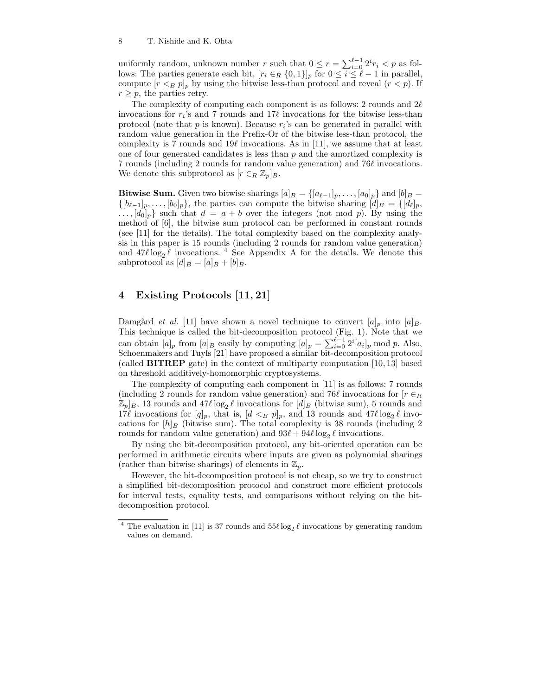uniformly random, unknown number r such that  $0 \le r = \sum_{i=0}^{\ell-1} 2^i r_i < p$  as follows: The parties generate each bit,  $[r_i \in_R \{0,1\}]_p$  for  $0 \le i \le \ell - 1$  in parallel, compute  $[r <_B p]_p$  by using the bitwise less-than protocol and reveal  $(r < p)$ . If  $r \geq p$ , the parties retry.

The complexity of computing each component is as follows: 2 rounds and  $2\ell$ invocations for  $r_i$ 's and 7 rounds and 17 $\ell$  invocations for the bitwise less-than protocol (note that  $p$  is known). Because  $r_i$ 's can be generated in parallel with random value generation in the Prefix-Or of the bitwise less-than protocol, the complexity is 7 rounds and  $19\ell$  invocations. As in [11], we assume that at least one of four generated candidates is less than  $p$  and the amortized complexity is 7 rounds (including 2 rounds for random value generation) and 76ℓ invocations. We denote this subprotocol as  $[r \in_R \mathbb{Z}_p]_B$ .

**Bitwise Sum.** Given two bitwise sharings  $[a]_B = \{[a_{\ell-1}]_p, \ldots, [a_0]_p\}$  and  $[b]_B =$  $\{[b_{\ell-1}]_p,\ldots,[b_0]_p\}$ , the parties can compute the bitwise sharing  $[d]_B = \{[d_\ell]_p,$  $\ldots$ ,  $[d_0]_p$  such that  $d = a + b$  over the integers (not mod p). By using the method of [6], the bitwise sum protocol can be performed in constant rounds (see [11] for the details). The total complexity based on the complexity analysis in this paper is 15 rounds (including 2 rounds for random value generation) and  $47\ell \log_2 \ell$  invocations. <sup>4</sup> See Appendix A for the details. We denote this subprotocol as  $[d]_B = [a]_B + [b]_B$ .

## 4 Existing Protocols [11, 21]

Damgård *et al.* [11] have shown a novel technique to convert  $[a]_p$  into  $[a]_B$ . This technique is called the bit-decomposition protocol (Fig. 1). Note that we can obtain  $[a]_p$  from  $[a]_B$  easily by computing  $[a]_p = \sum_{i=0}^{\ell-1} 2^i [a_i]_p \mod p$ . Also, Schoenmakers and Tuyls [21] have proposed a similar bit-decomposition protocol (called **BITREP** gate) in the context of multiparty computation  $[10, 13]$  based on threshold additively-homomorphic cryptosystems.

The complexity of computing each component in [11] is as follows: 7 rounds (including 2 rounds for random value generation) and 76 $\ell$  invocations for  $[r \in_R]$  $(\mathbb{Z}_p)_B$ , 13 rounds and  $47\ell \log_2 \ell$  invocations for  $[d]_B$  (bitwise sum), 5 rounds and 17 $\ell$  invocations for  $[q]_p$ , that is,  $[d \lt_B p]_p$ , and 13 rounds and 47 $\ell \log_2 \ell$  invocations for  $[h]_B$  (bitwise sum). The total complexity is 38 rounds (including 2 rounds for random value generation) and  $93\ell + 94\ell \log_2 \ell$  invocations.

By using the bit-decomposition protocol, any bit-oriented operation can be performed in arithmetic circuits where inputs are given as polynomial sharings (rather than bitwise sharings) of elements in  $\mathbb{Z}_p$ .

However, the bit-decomposition protocol is not cheap, so we try to construct a simplified bit-decomposition protocol and construct more efficient protocols for interval tests, equality tests, and comparisons without relying on the bitdecomposition protocol.

<sup>&</sup>lt;sup>4</sup> The evaluation in [11] is 37 rounds and  $55\ell \log_2 \ell$  invocations by generating random values on demand.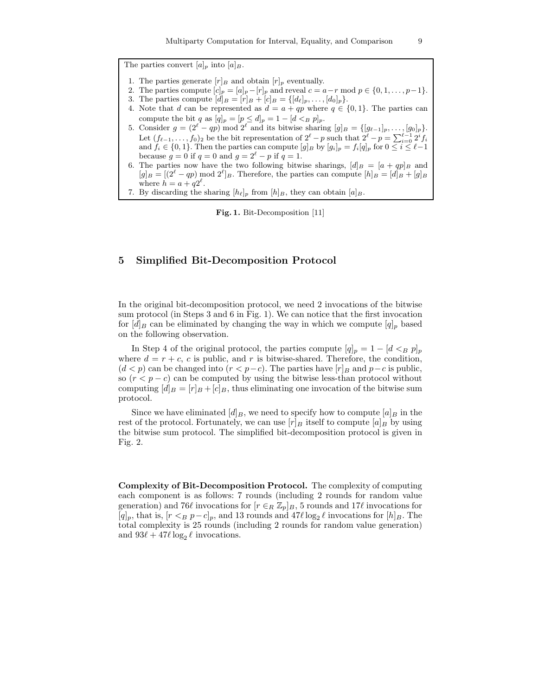The parties convert  $[a]_p$  into  $[a]_B$ .

- 1. The parties generate  $[r]_B$  and obtain  $[r]_p$  eventually.
- 2. The parties compute  $[c]_p = [a]_p [r]_p$  and reveal  $c = a-r \mod p \in \{0, 1, \ldots, p-1\}.$
- 3. The parties compute  $[d]_B = [r]_B + [c]_B = \{[d_\ell]_p, \ldots, [d_0]_p\}.$
- 4. Note that d can be represented as  $d = a + qp$  where  $q \in \{0, 1\}$ . The parties can compute the bit q as  $[q]_p = [p \leq d]_p = 1 - [d \lt B p]_p$ .
- 5. Consider  $g = (2^{\ell} qp) \mod 2^{\ell}$  and its bitwise sharing  $[g]_B = \{[g_{\ell-1}]_p, \ldots, [g_0]_p\}.$ Let  $(f_{\ell-1},\ldots,f_0)_2$  be the bit representation of  $2^{\ell}-p$  such that  $2^{\ell}-p=\sum_{i=0}^{\ell-1} 2^i f_i$ and  $f_i \in \{0,1\}$ . Then the parties can compute  $[g]_B$  by  $[g_i]_p = f_i[q]_p$  for  $0 \leq i \leq \ell-1$ because  $g = 0$  if  $q = 0$  and  $g = 2^{\ell} - p$  if  $q = 1$ .
- 6. The parties now have the two following bitwise sharings,  $[d]_B = [a + qp]_B$  and  $[g]_B = [(2^{\ell} - qp) \mod 2^{\ell}]_B$ . Therefore, the parties can compute  $[h]_B = [d]_B + [g]_B$ where  $h = a + q2^{\ell}$ .
- 7. By discarding the sharing  $[h_\ell]_p$  from  $[h]_B$ , they can obtain  $[a]_B$ .

Fig. 1. Bit-Decomposition [11]

## 5 Simplified Bit-Decomposition Protocol

In the original bit-decomposition protocol, we need 2 invocations of the bitwise sum protocol (in Steps 3 and 6 in Fig. 1). We can notice that the first invocation for  $[d]_B$  can be eliminated by changing the way in which we compute  $[q]_p$  based on the following observation.

In Step 4 of the original protocol, the parties compute  $[q]_p = 1 - [d \lt B p]_p$ where  $d = r + c$ , c is public, and r is bitwise-shared. Therefore, the condition,  $(d < p)$  can be changed into  $(r < p-c)$ . The parties have  $[r]_B$  and  $p-c$  is public, so  $(r < p - c)$  can be computed by using the bitwise less-than protocol without computing  $[d]_B = [r]_B + [c]_B$ , thus eliminating one invocation of the bitwise sum protocol.

Since we have eliminated  $[d]_B$ , we need to specify how to compute  $[a]_B$  in the rest of the protocol. Fortunately, we can use  $[r]_B$  itself to compute  $[a]_B$  by using the bitwise sum protocol. The simplified bit-decomposition protocol is given in Fig. 2.

Complexity of Bit-Decomposition Protocol. The complexity of computing each component is as follows: 7 rounds (including 2 rounds for random value generation) and 76 $\ell$  invocations for  $[r \in_R \mathbb{Z}_p]_B$ , 5 rounds and 17 $\ell$  invocations for  $[q]_p$ , that is,  $[r <_B p - c]_p$ , and 13 rounds and 47 $\ell \log_2 \ell$  invocations for  $[h]_B$ . The total complexity is 25 rounds (including 2 rounds for random value generation) and  $93\ell + 47\ell \log_2 \ell$  invocations.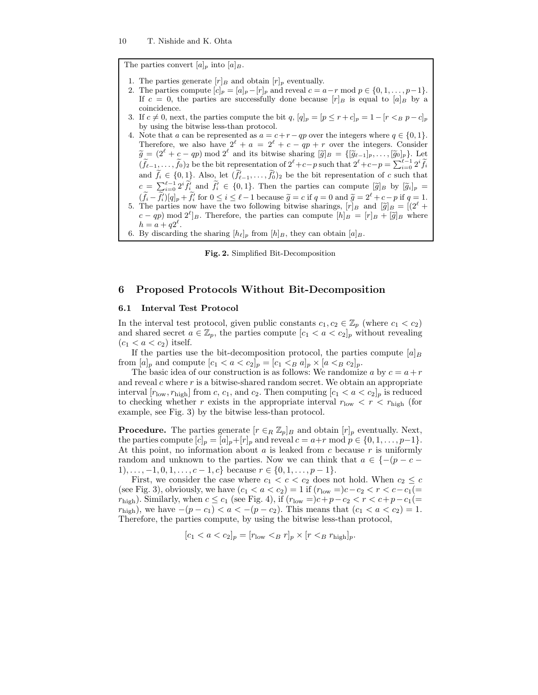The parties convert  $[a]_p$  into  $[a]_B$ .

- 1. The parties generate  $[r]_B$  and obtain  $[r]_p$  eventually.
- 2. The parties compute  $[c]_p = [a]_p [r]_p$  and reveal  $c = a r \mod p \in \{0, 1, \ldots, p-1\}.$ If  $c = 0$ , the parties are successfully done because  $[r]_B$  is equal to  $[a]_B$  by a coincidence.
- 3. If  $c \neq 0$ , next, the parties compute the bit  $q$ ,  $[q]_p = [p \leq r + c]_p = 1 [r \lt B p c]_p$ by using the bitwise less-than protocol.
- 4. Note that a can be represented as  $a = c+r-qp$  over the integers where  $q \in \{0,1\}$ . Therefore, we also have  $2^{\ell} + a = 2^{\ell} + c - qp + r$  over the integers. Consider  $\widetilde{g} = (2^{\ell} + c - qp) \mod 2^{\ell}$  and its bitwise sharing  $[\widetilde{g}]_B = \{[\widetilde{g}_{\ell-1}]_p, \ldots, [\widetilde{g}_0]_p\}$ . Let  $(\widetilde{f}_{\ell-1},\ldots,\widetilde{f}_0)_2$  be the bit representation of  $2^{\ell}+c-p$  such that  $2^{\ell}+c-p=\sum_{i=0}^{\ell-1}2^i\widetilde{f}_i$ and  $\tilde{f}_i \in \{0,1\}$ . Also, let  $(\tilde{f}'_{\ell-1},\ldots,\tilde{f}'_0)_2$  be the bit representation of c such that  $c = \sum_{i=0}^{\ell-1} 2^i \tilde{f}'_i$  and  $\tilde{f}'_i \in \{0,1\}$ . Then the parties can compute  $[\tilde{g}]_B$  by  $[\tilde{g}_i]_p =$  $(\widetilde{f}_i - \widetilde{f}_i')[q]_p + \widetilde{f}_i'$  for  $0 \le i \le \ell - 1$  because  $\widetilde{g} = c$  if  $q = 0$  and  $\widetilde{g} = 2^{\ell} + c - p$  if  $q = 1$ . 5. The parties now have the two following bitwise sharings,  $[r]_B$  and  $[\tilde{g}]_B = [(2^{\ell} +$  $(c - qp) \mod 2^{\ell}]_B$ . Therefore, the parties can compute  $[h]_B = [r]_B + [\widetilde{g}]_B$  where  $h = a + q2^{\ell}.$
- 6. By discarding the sharing  $[h_\ell]_p$  from  $[h]_B$ , they can obtain  $[a]_B$ .

Fig. 2. Simplified Bit-Decomposition

## 6 Proposed Protocols Without Bit-Decomposition

#### 6.1 Interval Test Protocol

In the interval test protocol, given public constants  $c_1, c_2 \in \mathbb{Z}_p$  (where  $c_1 < c_2$ ) and shared secret  $a \in \mathbb{Z}_p$ , the parties compute  $[c_1 < a < c_2]_p$  without revealing  $(c_1 < a < c_2)$  itself.

If the parties use the bit-decomposition protocol, the parties compute  $[a]_B$ from  $[a]_p$  and compute  $[c_1 < a < c_2]_p = [c_1 < B a]_p \times [a < B c_2]_p$ .

The basic idea of our construction is as follows: We randomize a by  $c = a+r$ and reveal  $c$  where  $r$  is a bitwise-shared random secret. We obtain an appropriate interval  $[r_{\text{low}}, r_{\text{high}}]$  from c,  $c_1$ , and  $c_2$ . Then computing  $[c_1 < a < c_2]_p$  is reduced to checking whether r exists in the appropriate interval  $r_{\text{low}} < r < r_{\text{high}}$  (for example, see Fig. 3) by the bitwise less-than protocol.

**Procedure.** The parties generate  $[r \in_R \mathbb{Z}_p]_B$  and obtain  $[r]_p$  eventually. Next, the parties compute  $[c]_p = [a]_p+[r]_p$  and reveal  $c = a+r \mod p \in \{0,1,\ldots,p-1\}.$ At this point, no information about  $a$  is leaked from  $c$  because  $r$  is uniformly random and unknown to the parties. Now we can think that  $a \in \{-(p - c - )$ 1), . . . ,  $-1, 0, 1, \ldots, c - 1, c$  because  $r \in \{0, 1, \ldots, p - 1\}$ .

First, we consider the case where  $c_1 < c < c_2$  does not hold. When  $c_2 \leq c$ (see Fig. 3), obviously, we have  $(c_1 < a < c_2) = 1$  if  $(r_{\text{low}} = )c - c_2 < r < c - c_1 (=$  $r_{\text{high}}$ ). Similarly, when  $c \leq c_1$  (see Fig. 4), if  $(r_{\text{low}} = c + p - c_2 < r < c + p - c_1)$  $r_{\text{high}}$ ), we have  $-(p - c_1) < a < -(p - c_2)$ . This means that  $(c_1 < a < c_2) = 1$ . Therefore, the parties compute, by using the bitwise less-than protocol,

$$
[c_1 < a < c_2]_p = [r_{\text{low}} <_{B} r]_p \times [r <_{B} r_{\text{high}}]_p.
$$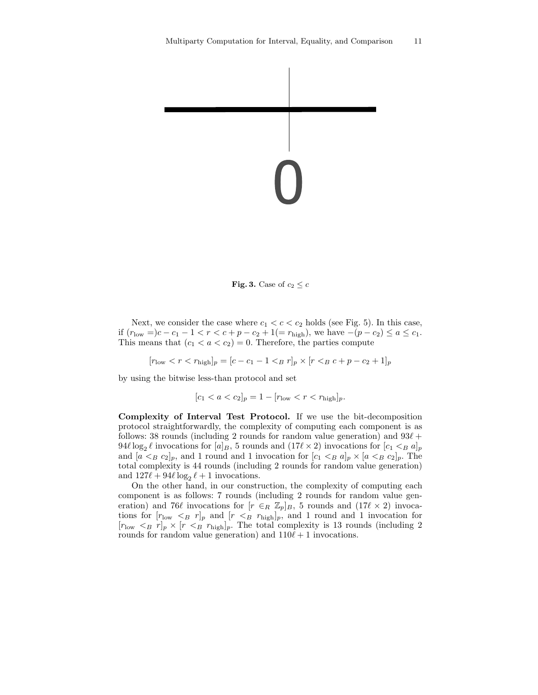



Next, we consider the case where  $c_1 < c < c_2$  holds (see Fig. 5). In this case, if  $(r_{\text{low}} =)c - c_1 - 1 < r < c + p - c_2 + 1 (= r_{\text{high}})$ , we have  $-\bar{p} - c_2 \le a \le c_1$ . This means that  $(c_1 < a < c_2) = 0$ . Therefore, the parties compute

 $[r_{\text{low}} < r < r_{\text{high}}]_p = [c - c_1 - 1 <_B r]_p \times [r <_B c + p - c_2 + 1]_p$ 

by using the bitwise less-than protocol and set

 $[c_1 < a < c_2]_p = 1 - [r_{\text{low}} < r < r_{\text{high}}]_p.$ 

Complexity of Interval Test Protocol. If we use the bit-decomposition protocol straightforwardly, the complexity of computing each component is as follows: 38 rounds (including 2 rounds for random value generation) and  $93\ell +$ 94 $\ell \log_2 \ell$  invocations for  $[a]_B$ , 5 rounds and  $(17\ell \times 2)$  invocations for  $[c_1 \lt B a]_p$ and  $[a \lt B c_2]_p$ , and 1 round and 1 invocation for  $[c_1 \lt B a]_p \times [a \lt B c_2]_p$ . The total complexity is 44 rounds (including 2 rounds for random value generation) and  $127\ell + 94\ell \log_2 \ell + 1$  invocations.

On the other hand, in our construction, the complexity of computing each component is as follows: 7 rounds (including 2 rounds for random value generation) and 76 $\ell$  invocations for  $[r \in_R \mathbb{Z}_p]_B$ , 5 rounds and  $(17\ell \times 2)$  invocations for  $[r_{\text{low}} < B r]_p$  and  $[r < B r_{\text{high}}]_p$ , and 1 round and 1 invocation for  $[r_{\text{low}} \leq_B r]_p \times [r \leq_B r_{\text{high}}]_p$ . The total complexity is 13 rounds (including 2) rounds for random value generation) and  $110\ell + 1$  invocations.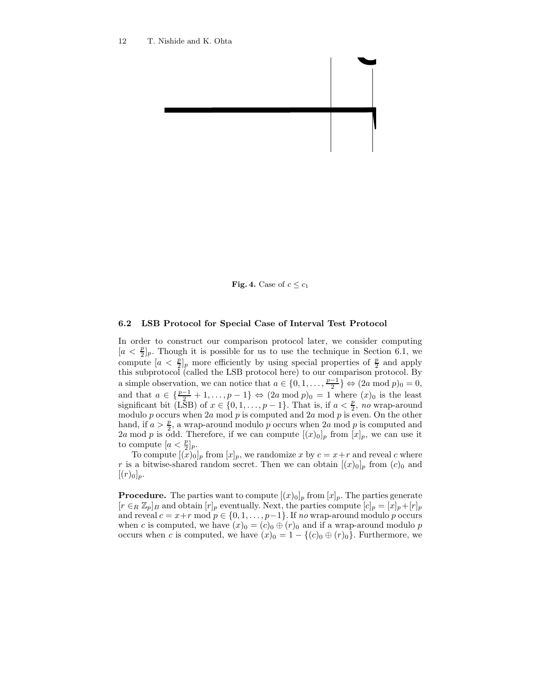

**Fig. 4.** Case of  $c \leq c_1$ 

#### 6.2 LSB Protocol for Special Case of Interval Test Protocol

In order to construct our comparison protocol later, we consider computing  $[a < \frac{p}{2}]_p$ . Though it is possible for us to use the technique in Section 6.1, we compute  $[a < \frac{p}{2}]_p$  more efficiently by using special properties of  $\frac{p}{2}$  and apply this subprotocol (called the LSB protocol here) to our comparison protocol. By a simple observation, we can notice that  $a \in \{0, 1, \ldots, \frac{p-1}{2}\} \Leftrightarrow (2a \mod p)_0 = 0$ , and that  $a \in \{\frac{p-1}{2}+1,\ldots,p-1\} \Leftrightarrow (2a \mod p)_0 = 1$  where  $(x)_0$  is the least significant bit (LSB) of  $x \in \{0, 1, \ldots, p-1\}$ . That is, if  $a < \frac{p}{2}$ , no wrap-around modulo  $p$  occurs when  $2a$  mod  $p$  is computed and  $2a$  mod  $p$  is even. On the other hand, if  $a > \frac{p}{2}$ , a wrap-around modulo p occurs when 2a mod p is computed and 2a mod p is odd. Therefore, if we can compute  $[(x)_0]_p$  from  $[x]_p$ , we can use it to compute  $[a < \frac{p}{2}]_p$ .

To compute  $[(x)_0]_p$  from  $[x]_p$ , we randomize x by  $c = x+r$  and reveal c where r is a bitwise-shared random secret. Then we can obtain  $[(x)_0]_p$  from  $(c)_0$  and  $[(r)_0]_p.$ 

**Procedure.** The parties want to compute  $[(x)_0]_p$  from  $[x]_p$ . The parties generate  $[r \in_R \mathbb{Z}_p]_B$  and obtain  $[r]_p$  eventually. Next, the parties compute  $[c]_p = [x]_p + [r]_p$ and reveal  $c = x+r \mod p \in \{0,1,\ldots,p-1\}$ . If no wrap-around modulo p occurs when c is computed, we have  $(x)_0 = (c)_0 \oplus (r)_0$  and if a wrap-around modulo p occurs when c is computed, we have  $(x)_0 = 1 - \{(c)_0 \oplus (r)_0\}$ . Furthermore, we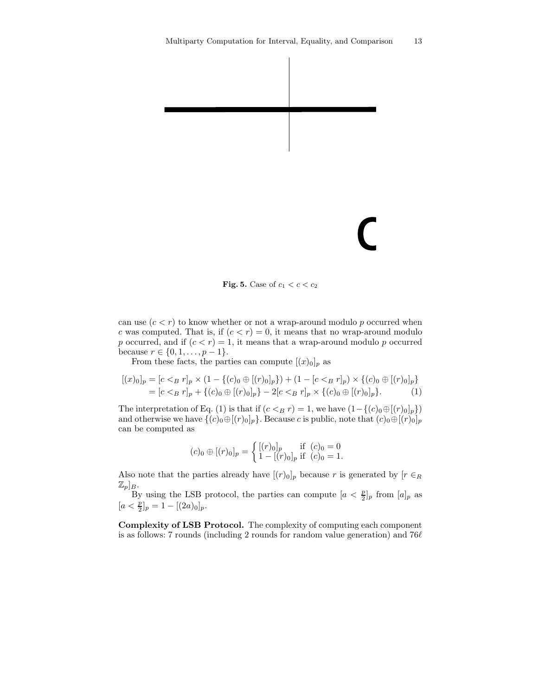

Fig. 5. Case of  $c_1 < c < c_2$ 

can use  $(c < r)$  to know whether or not a wrap-around modulo p occurred when c was computed. That is, if  $(c < r) = 0$ , it means that no wrap-around modulo p occurred, and if  $(c < r) = 1$ , it means that a wrap-around modulo p occurred because  $r \in \{0, 1, \ldots, p-1\}.$ 

From these facts, the parties can compute  $[(x)_0]_p$  as

$$
[(x)_{0}]_{p} = [c <_{B} r]_{p} \times (1 - \{(c)_{0} \oplus [(r)_{0}]_{p}\}) + (1 - [c <_{B} r]_{p}) \times \{(c)_{0} \oplus [(r)_{0}]_{p}\}
$$
  
=  $[c <_{B} r]_{p} + \{(c)_{0} \oplus [(r)_{0}]_{p}\} - 2[c <_{B} r]_{p} \times \{(c)_{0} \oplus [(r)_{0}]_{p}\}. (1)$ 

The interpretation of Eq. (1) is that if  $(c <sub>B</sub> r) = 1$ , we have  $(1 - \{(c)_0 \oplus [(r)_0]_p\})$ and otherwise we have  $\{(c)_0 \oplus [(r)_0]_p\}$ . Because c is public, note that  $(c)_0 \oplus [(r)_0]_p$ can be computed as

$$
(c)_0 \oplus [(r)_0]_p = \begin{cases} [(r)_0]_p & \text{if } (c)_0 = 0\\ 1 - [(r)_0]_p & \text{if } (c)_0 = 1. \end{cases}
$$

Also note that the parties already have  $[(r)_0]_p$  because r is generated by  $[r \in_R]$  $\mathbb{Z}_p]_B.$ 

By using the LSB protocol, the parties can compute  $[a < \frac{p}{2}]_p$  from  $[a]_p$  as  $[a < \frac{p}{2}]_p = 1 - [(2a)_0]_p.$ 

Complexity of LSB Protocol. The complexity of computing each component is as follows: 7 rounds (including 2 rounds for random value generation) and  $76\ell$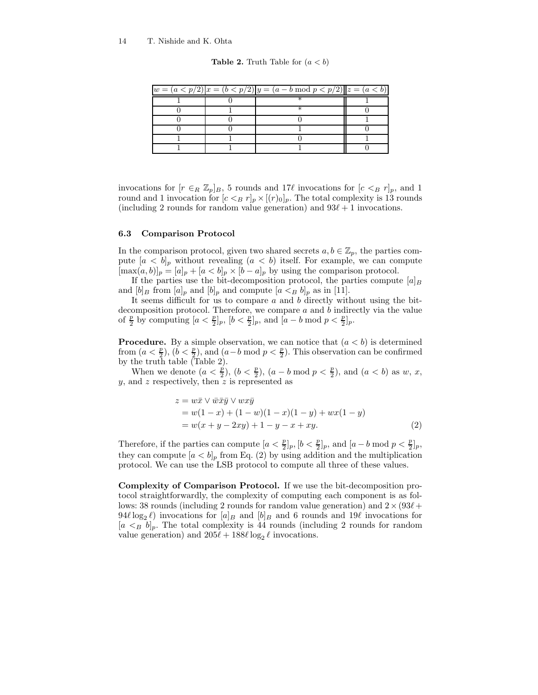|  | $ w = (a < p/2) x = (b < p/2) y = (a - b \bmod p < p/2) z = (a < b) $ |  |
|--|-----------------------------------------------------------------------|--|
|  |                                                                       |  |
|  |                                                                       |  |
|  |                                                                       |  |
|  |                                                                       |  |
|  |                                                                       |  |
|  |                                                                       |  |

**Table 2.** Truth Table for  $(a < b)$ 

invocations for  $[r \in_R \mathbb{Z}_p]_B$ , 5 rounds and 17 $\ell$  invocations for  $[c \lt_B r]_p$ , and 1 round and 1 invocation for  $[c <sub>B</sub> r]_p \times [(r]_0]_p$ . The total complexity is 13 rounds (including 2 rounds for random value generation) and  $93\ell + 1$  invocations.

#### 6.3 Comparison Protocol

In the comparison protocol, given two shared secrets  $a, b \in \mathbb{Z}_p$ , the parties compute  $[a \lt b]_p$  without revealing  $(a \lt b)$  itself. For example, we can compute  $[\max(a, b)]_p = [a]_p + [a < b]_p \times [b - a]_p$  by using the comparison protocol.

If the parties use the bit-decomposition protocol, the parties compute  $[a]_B$ and  $[b]_B$  from  $[a]_p$  and  $[b]_p$  and compute  $[a <_B b]_p$  as in [11].

It seems difficult for us to compare  $\alpha$  and  $\beta$  directly without using the bitdecomposition protocol. Therefore, we compare  $a$  and  $b$  indirectly via the value of  $\frac{p}{2}$  by computing  $[a < \frac{p}{2}]_p$ ,  $[b < \frac{p}{2}]_p$ , and  $[a - b \mod p < \frac{p}{2}]_p$ .

**Procedure.** By a simple observation, we can notice that  $(a < b)$  is determined from  $(a < \frac{p}{2})$ ,  $(b < \frac{p}{2})$ , and  $(a - b \mod p < \frac{p}{2})$ . This observation can be confirmed by the truth table (Table 2).

When we denote  $(a < \frac{p}{2})$ ,  $(b < \frac{p}{2})$ ,  $(a - b \mod p < \frac{p}{2})$ , and  $(a < b)$  as w, x,  $y$ , and  $z$  respectively, then  $z$  is represented as

$$
z = w\bar{x} \lor \bar{w}\bar{x}\bar{y} \lor wx\bar{y}
$$
  
=  $w(1-x) + (1-w)(1-x)(1-y) + wx(1-y)$   
=  $w(x+y-2xy) + 1 - y - x + xy.$  (2)

Therefore, if the parties can compute  $[a < \frac{p}{2}]_p$ ,  $[b < \frac{p}{2}]_p$ , and  $[a - b \mod p < \frac{p}{2}]_p$ , they can compute  $[a < b]_p$  from Eq. (2) by using addition and the multiplication protocol. We can use the LSB protocol to compute all three of these values.

Complexity of Comparison Protocol. If we use the bit-decomposition protocol straightforwardly, the complexity of computing each component is as follows: 38 rounds (including 2 rounds for random value generation) and  $2 \times (93\ell +$  $94\ell \log_2 \ell$  invocations for  $[a]_B$  and  $[b]_B$  and 6 rounds and 19 $\ell$  invocations for  $[a \lt B b]_p$ . The total complexity is 44 rounds (including 2 rounds for random value generation) and  $205\ell + 188\ell \log_2 \ell$  invocations.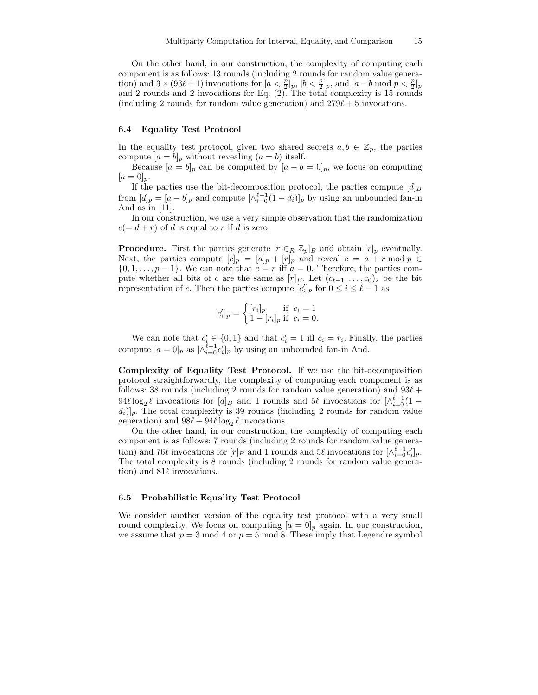On the other hand, in our construction, the complexity of computing each component is as follows: 13 rounds (including 2 rounds for random value generation) and  $3 \times (93\ell + 1)$  invocations for  $[a \lt \frac{p}{2}]_p$ ,  $[b \lt \frac{p}{2}]_p$ , and  $[a - b \mod p \lt \frac{p}{2}]_p$ and 2 rounds and 2 invocations for Eq. (2). The total complexity is 15 rounds (including 2 rounds for random value generation) and  $279\ell + 5$  invocations.

#### 6.4 Equality Test Protocol

In the equality test protocol, given two shared secrets  $a, b \in \mathbb{Z}_p$ , the parties compute  $[a = b]_p$  without revealing  $(a = b)$  itself.

Because  $[a = b]_p$  can be computed by  $[a - b = 0]_p$ , we focus on computing  $[a=0]_p.$ 

If the parties use the bit-decomposition protocol, the parties compute  $[d]_B$ from  $[d]_p = [a - b]_p$  and compute  $[\wedge_{i=0}^{\ell-1}(1 - d_i)]_p$  by using an unbounded fan-in And as in [11].

In our construction, we use a very simple observation that the randomization  $c(= d + r)$  of d is equal to r if d is zero.

**Procedure.** First the parties generate  $[r \in_R \mathbb{Z}_p]_B$  and obtain  $[r]_p$  eventually. Next, the parties compute  $[c]_p = [a]_p + [r]_p$  and reveal  $c = a + r \mod p \in$  $\{0, 1, \ldots, p-1\}$ . We can note that  $c = r$  iff  $a = 0$ . Therefore, the parties compute whether all bits of c are the same as  $[r]_B$ . Let  $(c_{\ell-1},...,c_0)_2$  be the bit representation of c. Then the parties compute  $[c'_i]_p$  for  $0 \le i \le \ell - 1$  as

$$
[c'_{i}]_{p} = \begin{cases} [r_{i}]_{p} & \text{if } c_{i} = 1\\ 1 - [r_{i}]_{p} & \text{if } c_{i} = 0. \end{cases}
$$

We can note that  $c'_i \in \{0,1\}$  and that  $c'_i = 1$  iff  $c_i = r_i$ . Finally, the parties compute  $[a = 0]_p$  as  $\left[\wedge_{i=0}^{\ell-1} c_i'\right]_p$  by using an unbounded fan-in And.

Complexity of Equality Test Protocol. If we use the bit-decomposition protocol straightforwardly, the complexity of computing each component is as follows: 38 rounds (including 2 rounds for random value generation) and  $93\ell$  + 94 $\ell \log_2 \ell$  invocations for  $[d]_B$  and 1 rounds and 5 $\ell$  invocations for  $\left[\wedge_{i=0}^{\ell-1}(1-\right]$  $(d_i)|_p$ . The total complexity is 39 rounds (including 2 rounds for random value generation) and  $98\ell + 94\ell \log_2 \ell$  invocations.

On the other hand, in our construction, the complexity of computing each component is as follows: 7 rounds (including 2 rounds for random value generation) and 76 $\ell$  invocations for  $[r]_B$  and 1 rounds and 5 $\ell$  invocations for  $[\wedge_{i=0}^{\ell-1} c'_i]_p$ . The total complexity is 8 rounds (including 2 rounds for random value generation) and  $81\ell$  invocations.

#### 6.5 Probabilistic Equality Test Protocol

We consider another version of the equality test protocol with a very small round complexity. We focus on computing  $[a = 0]_p$  again. In our construction, we assume that  $p = 3 \mod 4$  or  $p = 5 \mod 8$ . These imply that Legendre symbol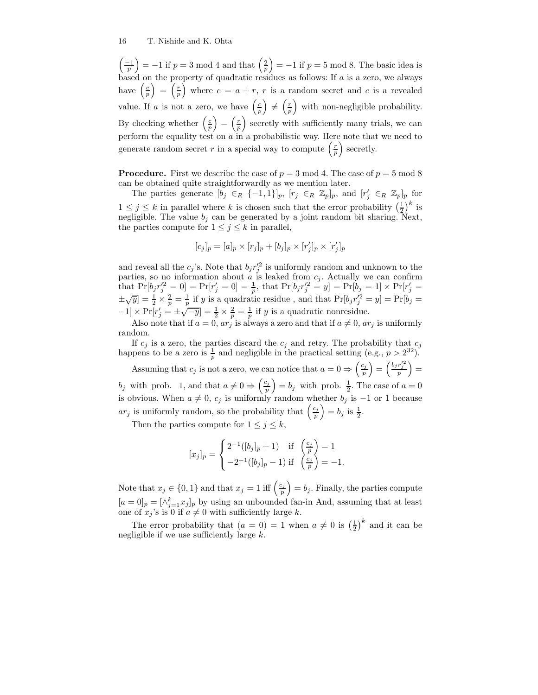$\left(\frac{-1}{p}\right) = -1$  if  $p = 3 \mod 4$  and that  $\left(\frac{2}{p}\right) = -1$  if  $p = 5 \mod 8$ . The basic idea is based on the property of quadratic residues as follows: If  $a$  is a zero, we always have  $\left(\frac{c}{p}\right) = \left(\frac{r}{p}\right)$  where  $c = a + r$ , r is a random secret and c is a revealed value. If a is not a zero, we have  $\left(\frac{c}{p}\right) \neq \left(\frac{r}{p}\right)$  with non-negligible probability. By checking whether  $\left(\frac{c}{p}\right) = \left(\frac{r}{p}\right)$  secretly with sufficiently many trials, we can perform the equality test on  $a$  in a probabilistic way. Here note that we need to generate random secret r in a special way to compute  $\left(\frac{r}{p}\right)$  secretly.

**Procedure.** First we describe the case of  $p = 3 \text{ mod } 4$ . The case of  $p = 5 \text{ mod } 8$ can be obtained quite straightforwardly as we mention later.

The parties generate  $[b_j \in_R \{-1,1\}]_p$ ,  $[r_j \in_R \mathbb{Z}_p]_p$ , and  $[r'_j \in_R \mathbb{Z}_p]_p$  for  $1 \leq j \leq k$  in parallel where k is chosen such that the error probability  $\left(\frac{1}{2}\right)^k$  is negligible. The value  $b_j$  can be generated by a joint random bit sharing. Next, the parties compute for  $1 \leq j \leq k$  in parallel,

$$
[c_j]_p = [a]_p \times [r_j]_p + [b_j]_p \times [r'_j]_p \times [r'_j]_p
$$

and reveal all the  $c_j$ 's. Note that  $b_j r_j'^2$  is uniformly random and unknown to the parties, so no information about  $a$  is leaked from  $c_j$ . Actually we can confirm that  $Pr[b_j r_j'^2 = 0] = Pr[r_j' = 0] = \frac{1}{p}$ , that  $Pr[b_j r_j'^2 = y] = Pr[\check{b}_j = 1] \times Pr[r_j' = 1]$  $\pm \sqrt{y}$ ] =  $\frac{1}{2} \times \frac{2}{p} = \frac{1}{p}$  if y is a quadratic residue, and that  $Pr[b_j r_j'^2 = y] = Pr[b_j =$  $-1 \times \Pr[r'_j = \pm \sqrt{-y}] = \frac{1}{2} \times \frac{2}{p} = \frac{1}{p}$  if y is a quadratic nonresidue.

Also note that if  $a = 0$ ,  $ar_j$  is always a zero and that if  $a \neq 0$ ,  $ar_j$  is uniformly random.

If  $c_j$  is a zero, the parties discard the  $c_j$  and retry. The probability that  $c_j$ happens to be a zero is  $\frac{1}{p}$  and negligible in the practical setting (e.g.,  $p > 2^{32}$ ).

Assuming that  $c_j$  is not a zero, we can notice that  $a = 0 \Rightarrow \left(\frac{c_j}{p}\right) = \left(\frac{b_j r_j'^2}{p}\right) =$  $b_j$  with prob. 1, and that  $a \neq 0 \Rightarrow \left(\frac{c_j}{p}\right) = b_j$  with prob.  $\frac{1}{2}$ . The case of  $a = 0$ is obvious. When  $a \neq 0$ ,  $c_j$  is uniformly random whether  $b_j$  is  $-1$  or 1 because  $ar_j$  is uniformly random, so the probability that  $\left(\frac{c_j}{p}\right) = b_j$  is  $\frac{1}{2}$ .

Then the parties compute for  $1 \leq j \leq k$ ,

$$
[x_j]_p = \begin{cases} 2^{-1}([b_j]_p + 1) & \text{if } \left(\frac{c_j}{p}\right) = 1\\ -2^{-1}([b_j]_p - 1) & \text{if } \left(\frac{c_j}{p}\right) = -1. \end{cases}
$$

Note that  $x_j \in \{0,1\}$  and that  $x_j = 1$  iff  $\left(\frac{c_j}{p}\right) = b_j$ . Finally, the parties compute  $[a = 0]_p = [\wedge_{j=1}^k x_j]_p$  by using an unbounded fan-in And, assuming that at least one of  $x_j$ 's is 0 if  $a \neq 0$  with sufficiently large k.

The error probability that  $(a = 0) = 1$  when  $a \neq 0$  is  $\left(\frac{1}{2}\right)^k$  and it can be negligible if we use sufficiently large  $k$ .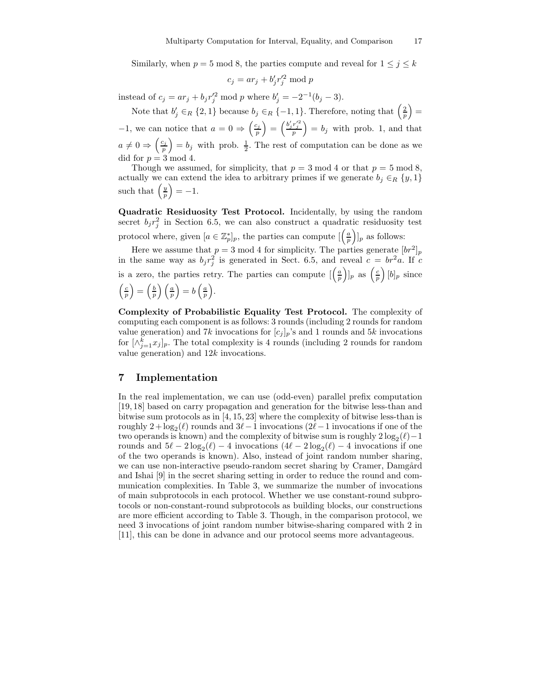Similarly, when  $p = 5 \mod 8$ , the parties compute and reveal for  $1 \leq j \leq k$ 

$$
c_j = ar_j + b'_j r'^2_j \bmod p
$$

instead of  $c_j = ar_j + b_j r_j'^2 \text{ mod } p$  where  $b'_j = -2^{-1}(b_j - 3)$ .

Note that  $b'_j \in_R \{2, 1\}$  because  $b_j \in_R \{-1, 1\}$ . Therefore, noting that  $\left(\frac{2}{p}\right) =$ -1, we can notice that  $a = 0 \Rightarrow \left(\frac{c_j}{p}\right) = \left(\frac{b'_j r'^2_j}{p}\right) = b_j$  with prob. 1, and that  $a \neq 0 \Rightarrow \left(\frac{c_j}{p}\right) = b_j$  with prob.  $\frac{1}{2}$ . The rest of computation can be done as we did for  $p = 3 \mod 4$ .

Though we assumed, for simplicity, that  $p = 3 \text{ mod } 4$  or that  $p = 5 \text{ mod } 8$ , actually we can extend the idea to arbitrary primes if we generate  $b_i \in_R \{y, 1\}$ such that  $\left(\frac{y}{p}\right) = -1$ .

Quadratic Residuosity Test Protocol. Incidentally, by using the random secret  $b_j r_j^2$  in Section 6.5, we can also construct a quadratic residuosity test protocol where, given  $[a \in \mathbb{Z}_p^*]_p$ , the parties can compute  $\left[\left(\frac{a}{p}\right)]_p$  as follows:

Here we assume that  $p = 3 \text{ mod } 4$  for simplicity. The parties generate  $[br^2]_p$ in the same way as  $b_j r_j^2$  is generated in Sect. 6.5, and reveal  $c = br^2 a$ . If c is a zero, the parties retry. The parties can compute  $\left[\left(\frac{a}{p}\right)]_p$  as  $\left(\frac{c}{p}\right)[b]_p$  since  $\left(\frac{c}{p}\right) = \left(\frac{b}{p}\right) \left(\frac{a}{p}\right) = b \left(\frac{a}{p}\right).$ 

Complexity of Probabilistic Equality Test Protocol. The complexity of computing each component is as follows: 3 rounds (including 2 rounds for random value generation) and 7k invocations for  $[c_j]_p$ 's and 1 rounds and 5k invocations for  $[\wedge_{j=1}^{k} x_j]_p$ . The total complexity is 4 rounds (including 2 rounds for random value generation) and  $12k$  invocations.

## 7 Implementation

In the real implementation, we can use (odd-even) parallel prefix computation [19, 18] based on carry propagation and generation for the bitwise less-than and bitwise sum protocols as in [4, 15, 23] where the complexity of bitwise less-than is roughly  $2 + \log_2(\ell)$  rounds and  $3\ell - 1$  invocations  $(2\ell - 1$  invocations if one of the two operands is known) and the complexity of bitwise sum is roughly  $2\log_2(\ell)-1$ rounds and  $5\ell - 2\log_2(\ell) - 4$  invocations  $(4\ell - 2\log_2(\ell) - 4$  invocations if one of the two operands is known). Also, instead of joint random number sharing, we can use non-interactive pseudo-random secret sharing by Cramer, Damgård and Ishai [9] in the secret sharing setting in order to reduce the round and communication complexities. In Table 3, we summarize the number of invocations of main subprotocols in each protocol. Whether we use constant-round subprotocols or non-constant-round subprotocols as building blocks, our constructions are more efficient according to Table 3. Though, in the comparison protocol, we need 3 invocations of joint random number bitwise-sharing compared with 2 in [11], this can be done in advance and our protocol seems more advantageous.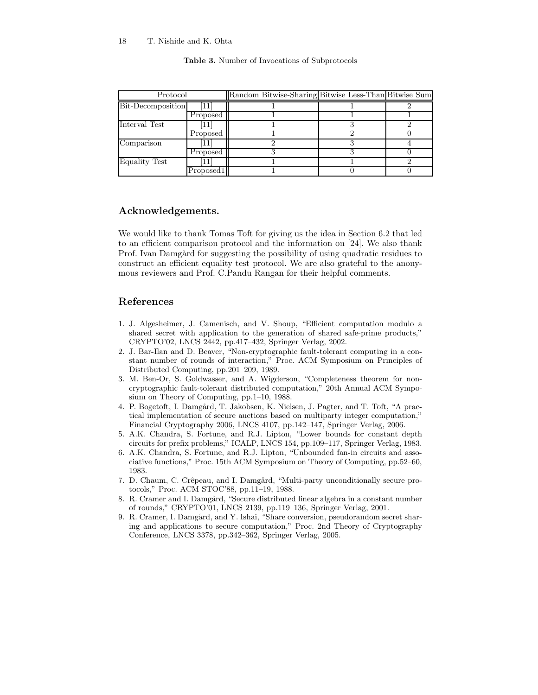18 T. Nishide and K. Ohta

| Protocol                 |           | Random Bitwise-Sharing Bitwise Less-Than Bitwise Sum |  |
|--------------------------|-----------|------------------------------------------------------|--|
| <b>Bit-Decomposition</b> |           |                                                      |  |
|                          | Proposed  |                                                      |  |
| Interval Test            |           |                                                      |  |
|                          | Proposed  |                                                      |  |
| Comparison               |           |                                                      |  |
|                          | Proposed  |                                                      |  |
| <b>Equality Test</b>     |           |                                                      |  |
|                          | Proposed1 |                                                      |  |

Table 3. Number of Invocations of Subprotocols

## Acknowledgements.

We would like to thank Tomas Toft for giving us the idea in Section 6.2 that led to an efficient comparison protocol and the information on [24]. We also thank Prof. Ivan Damgård for suggesting the possibility of using quadratic residues to construct an efficient equality test protocol. We are also grateful to the anonymous reviewers and Prof. C.Pandu Rangan for their helpful comments.

## References

- 1. J. Algesheimer, J. Camenisch, and V. Shoup, "Efficient computation modulo a shared secret with application to the generation of shared safe-prime products," CRYPTO'02, LNCS 2442, pp.417–432, Springer Verlag, 2002.
- 2. J. Bar-Ilan and D. Beaver, "Non-cryptographic fault-tolerant computing in a constant number of rounds of interaction," Proc. ACM Symposium on Principles of Distributed Computing, pp.201–209, 1989.
- 3. M. Ben-Or, S. Goldwasser, and A. Wigderson, "Completeness theorem for noncryptographic fault-tolerant distributed computation," 20th Annual ACM Symposium on Theory of Computing, pp.1–10, 1988.
- 4. P. Bogetoft, I. Damgård, T. Jakobsen, K. Nielsen, J. Pagter, and T. Toft, "A practical implementation of secure auctions based on multiparty integer computation," Financial Cryptography 2006, LNCS 4107, pp.142–147, Springer Verlag, 2006.
- 5. A.K. Chandra, S. Fortune, and R.J. Lipton, "Lower bounds for constant depth circuits for prefix problems," ICALP, LNCS 154, pp.109–117, Springer Verlag, 1983.
- 6. A.K. Chandra, S. Fortune, and R.J. Lipton, "Unbounded fan-in circuits and associative functions," Proc. 15th ACM Symposium on Theory of Computing, pp.52–60, 1983.
- 7. D. Chaum, C. Crêpeau, and I. Damgård, "Multi-party unconditionally secure protocols," Proc. ACM STOC'88, pp.11–19, 1988.
- 8. R. Cramer and I. Damgård, "Secure distributed linear algebra in a constant number of rounds," CRYPTO'01, LNCS 2139, pp.119–136, Springer Verlag, 2001.
- 9. R. Cramer, I. Damgård, and Y. Ishai, "Share conversion, pseudorandom secret sharing and applications to secure computation," Proc. 2nd Theory of Cryptography Conference, LNCS 3378, pp.342–362, Springer Verlag, 2005.